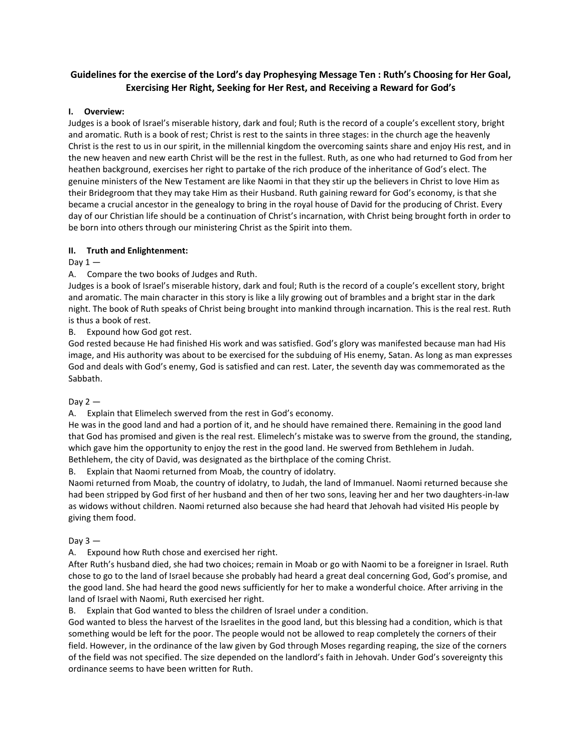# **Guidelines for the exercise of the Lord's day Prophesying Message Ten : Ruth's Choosing for Her Goal, Exercising Her Right, Seeking for Her Rest, and Receiving a Reward for God's**

## **I. Overview:**

Judges is a book of Israel's miserable history, dark and foul; Ruth is the record of a couple's excellent story, bright and aromatic. Ruth is a book of rest; Christ is rest to the saints in three stages: in the church age the heavenly Christ is the rest to us in our spirit, in the millennial kingdom the overcoming saints share and enjoy His rest, and in the new heaven and new earth Christ will be the rest in the fullest. Ruth, as one who had returned to God from her heathen background, exercises her right to partake of the rich produce of the inheritance of God's elect. The genuine ministers of the New Testament are like Naomi in that they stir up the believers in Christ to love Him as their Bridegroom that they may take Him as their Husband. Ruth gaining reward for God's economy, is that she became a crucial ancestor in the genealogy to bring in the royal house of David for the producing of Christ. Every day of our Christian life should be a continuation of Christ's incarnation, with Christ being brought forth in order to be born into others through our ministering Christ as the Spirit into them.

## **II. Truth and Enlightenment:**

Day  $1 -$ 

A. Compare the two books of Judges and Ruth.

Judges is a book of Israel's miserable history, dark and foul; Ruth is the record of a couple's excellent story, bright and aromatic. The main character in this story is like a lily growing out of brambles and a bright star in the dark night. The book of Ruth speaks of Christ being brought into mankind through incarnation. This is the real rest. Ruth is thus a book of rest.

B. Expound how God got rest.

God rested because He had finished His work and was satisfied. God's glory was manifested because man had His image, and His authority was about to be exercised for the subduing of His enemy, Satan. As long as man expresses God and deals with God's enemy, God is satisfied and can rest. Later, the seventh day was commemorated as the Sabbath.

#### Day  $2-$

A. Explain that Elimelech swerved from the rest in God's economy.

He was in the good land and had a portion of it, and he should have remained there. Remaining in the good land that God has promised and given is the real rest. Elimelech's mistake was to swerve from the ground, the standing, which gave him the opportunity to enjoy the rest in the good land. He swerved from Bethlehem in Judah. Bethlehem, the city of David, was designated as the birthplace of the coming Christ.

B. Explain that Naomi returned from Moab, the country of idolatry.

Naomi returned from Moab, the country of idolatry, to Judah, the land of Immanuel. Naomi returned because she had been stripped by God first of her husband and then of her two sons, leaving her and her two daughters-in-law as widows without children. Naomi returned also because she had heard that Jehovah had visited His people by giving them food.

#### Day  $3 -$

A. Expound how Ruth chose and exercised her right.

After Ruth's husband died, she had two choices; remain in Moab or go with Naomi to be a foreigner in Israel. Ruth chose to go to the land of Israel because she probably had heard a great deal concerning God, God's promise, and the good land. She had heard the good news sufficiently for her to make a wonderful choice. After arriving in the land of Israel with Naomi, Ruth exercised her right.

B. Explain that God wanted to bless the children of Israel under a condition.

God wanted to bless the harvest of the Israelites in the good land, but this blessing had a condition, which is that something would be left for the poor. The people would not be allowed to reap completely the corners of their field. However, in the ordinance of the law given by God through Moses regarding reaping, the size of the corners of the field was not specified. The size depended on the landlord's faith in Jehovah. Under God's sovereignty this ordinance seems to have been written for Ruth.